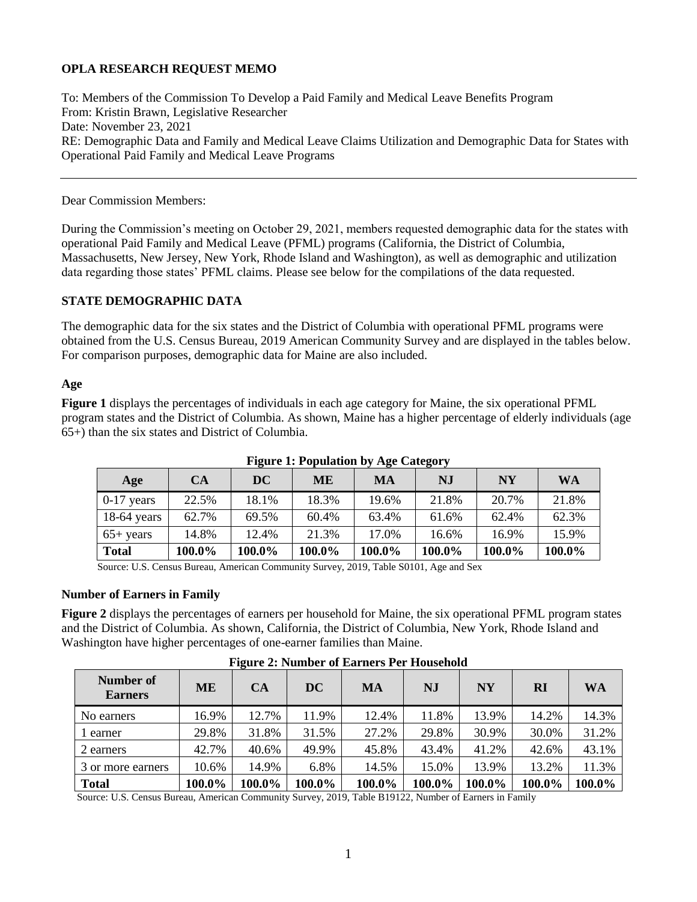# **OPLA RESEARCH REQUEST MEMO**

To: Members of the Commission To Develop a Paid Family and Medical Leave Benefits Program From: Kristin Brawn, Legislative Researcher Date: November 23, 2021 RE: Demographic Data and Family and Medical Leave Claims Utilization and Demographic Data for States with Operational Paid Family and Medical Leave Programs

## Dear Commission Members:

During the Commission's meeting on October 29, 2021, members requested demographic data for the states with operational Paid Family and Medical Leave (PFML) programs (California, the District of Columbia, Massachusetts, New Jersey, New York, Rhode Island and Washington), as well as demographic and utilization data regarding those states' PFML claims. Please see below for the compilations of the data requested.

## **STATE DEMOGRAPHIC DATA**

The demographic data for the six states and the District of Columbia with operational PFML programs were obtained from the U.S. Census Bureau, 2019 American Community Survey and are displayed in the tables below. For comparison purposes, demographic data for Maine are also included.

## **Age**

**Figure 1** displays the percentages of individuals in each age category for Maine, the six operational PFML program states and the District of Columbia. As shown, Maine has a higher percentage of elderly individuals (age 65+) than the six states and District of Columbia.

| Age           | CA     | DC     | ME     | MA     | NJ     | <b>NY</b> | <b>WA</b> |
|---------------|--------|--------|--------|--------|--------|-----------|-----------|
| $0-17$ years  | 22.5%  | 18.1%  | 18.3%  | 19.6%  | 21.8%  | 20.7%     | 21.8%     |
| $18-64$ years | 62.7%  | 69.5%  | 60.4%  | 63.4%  | 61.6%  | 62.4%     | 62.3%     |
| $65+$ years   | 14.8%  | 12.4%  | 21.3%  | 17.0%  | 16.6%  | 16.9%     | 15.9%     |
| <b>Total</b>  | 100.0% | 100.0% | 100.0% | 100.0% | 100.0% | 100.0%    | 100.0%    |

### **Figure 1: Population by Age Category**

Source: U.S. Census Bureau, American Community Survey, 2019, Table S0101, Age and Sex

### **Number of Earners in Family**

**Figure 2** displays the percentages of earners per household for Maine, the six operational PFML program states and the District of Columbia. As shown, California, the District of Columbia, New York, Rhode Island and Washington have higher percentages of one-earner families than Maine.

| Treate 2: I vaniber of Earliers I er Household |           |           |           |        |           |           |        |           |  |  |
|------------------------------------------------|-----------|-----------|-----------|--------|-----------|-----------|--------|-----------|--|--|
| Number of<br><b>Earners</b>                    | <b>ME</b> | <b>CA</b> | <b>DC</b> | MA     | <b>NJ</b> | <b>NY</b> | RI     | <b>WA</b> |  |  |
| No earners                                     | 16.9%     | 12.7%     | 11.9%     | 12.4%  | 11.8%     | 13.9%     | 14.2%  | 14.3%     |  |  |
| 1 earner                                       | 29.8%     | 31.8%     | 31.5%     | 27.2%  | 29.8%     | 30.9%     | 30.0%  | 31.2%     |  |  |
| 2 earners                                      | 42.7%     | 40.6%     | 49.9%     | 45.8%  | 43.4%     | 41.2%     | 42.6%  | 43.1%     |  |  |
| 3 or more earners                              | 10.6%     | 14.9%     | 6.8%      | 14.5%  | 15.0%     | 13.9%     | 13.2%  | 11.3%     |  |  |
| <b>Total</b>                                   | 100.0%    | 100.0%    | 100.0%    | 100.0% | 100.0%    | 100.0%    | 100.0% | 100.0%    |  |  |

## **Figure 2: Number of Earners Per Household**

Source: U.S. Census Bureau, American Community Survey, 2019, Table B19122, Number of Earners in Family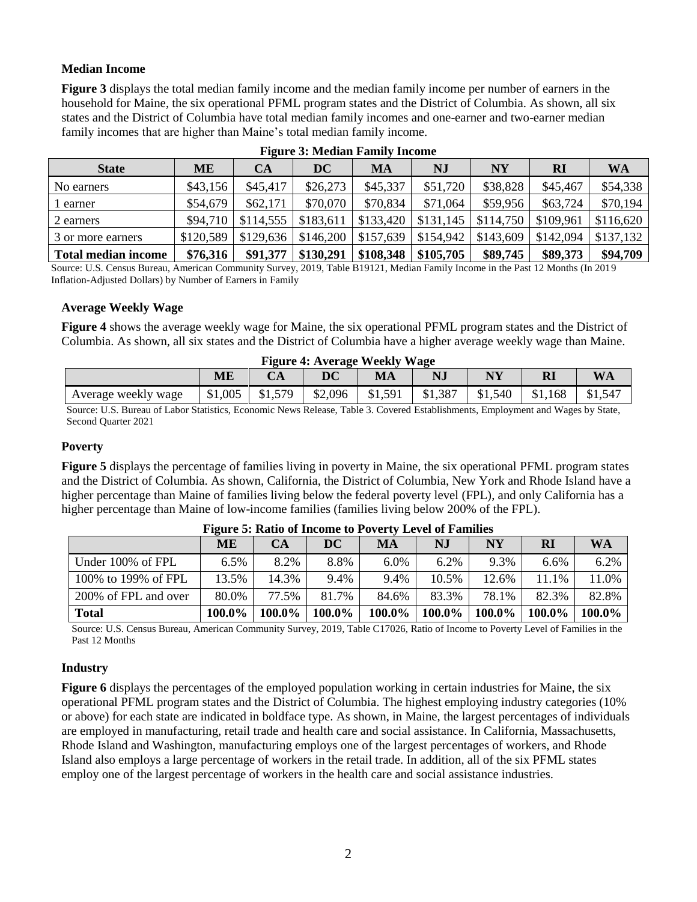## **Median Income**

**Figure 3** displays the total median family income and the median family income per number of earners in the household for Maine, the six operational PFML program states and the District of Columbia. As shown, all six states and the District of Columbia have total median family incomes and one-earner and two-earner median family incomes that are higher than Maine's total median family income.

| <b>State</b>               | MЕ        | CA        | $\overline{\mathbf{D}\mathbf{C}}$ | MA        | NJ        | NY        | RI        | <b>WA</b> |
|----------------------------|-----------|-----------|-----------------------------------|-----------|-----------|-----------|-----------|-----------|
| No earners                 | \$43,156  | \$45,417  | \$26,273                          | \$45,337  | \$51,720  | \$38,828  | \$45,467  | \$54,338  |
| earner                     | \$54,679  | \$62,171  | \$70,070                          | \$70,834  | \$71,064  | \$59,956  | \$63,724  | \$70,194  |
| 2 earners                  | \$94.710  | \$114,555 | \$183,611                         | \$133,420 | \$131,145 | \$114,750 | \$109,961 | \$116,620 |
| 3 or more earners          | \$120,589 | \$129,636 | \$146,200                         | \$157,639 | \$154,942 | \$143,609 | \$142,094 | \$137.132 |
| <b>Total median income</b> | \$76,316  | \$91,377  | \$130,291                         | \$108,348 | \$105,705 | \$89,745  | \$89,373  | \$94,709  |

### **Figure 3: Median Family Income**

Source: U.S. Census Bureau, American Community Survey, 2019, Table B19121, Median Family Income in the Past 12 Months (In 2019 Inflation-Adjusted Dollars) by Number of Earners in Family

### **Average Weekly Wage**

**Figure 4** shows the average weekly wage for Maine, the six operational PFML program states and the District of Columbia. As shown, all six states and the District of Columbia have a higher average weekly wage than Maine.

| <b>Figure 4: Average Weekly Wage</b>                            |         |         |         |         |         |         |         |                 |  |
|-----------------------------------------------------------------|---------|---------|---------|---------|---------|---------|---------|-----------------|--|
| <b>WA</b><br>$\bold{N}\bold{Y}$<br><b>ME</b><br><b>RI</b><br>MA |         |         |         |         |         |         |         |                 |  |
| Average weekly wage                                             | \$1,005 | \$1,579 | \$2,096 | \$1,591 | \$1,387 | \$1,540 | \$1,168 | $$1,54^{\circ}$ |  |

Source: U.S. Bureau of Labor Statistics, Economic News Release, Table 3. Covered Establishments, Employment and Wages by State, Second Quarter 2021

## **Poverty**

**Figure 5** displays the percentage of families living in poverty in Maine, the six operational PFML program states and the District of Columbia. As shown, California, the District of Columbia, New York and Rhode Island have a higher percentage than Maine of families living below the federal poverty level (FPL), and only California has a higher percentage than Maine of low-income families (families living below 200% of the FPL).

|                      | <b>ME</b> | CA     | $\bf DC$ | MA     | NJ     | NY     | RI           | <b>WA</b> |
|----------------------|-----------|--------|----------|--------|--------|--------|--------------|-----------|
| Under 100% of FPL    | 6.5%      | 8.2%   | 8.8%     | 6.0%   | 6.2%   | 9.3%   | 6.6%         | 6.2%      |
| 100% to 199% of FPL  | 13.5%     | 14.3%  | 9.4%     | 9.4%   | 10.5%  | 12.6%  | $.1\%$<br>11 | 11.0%     |
| 200% of FPL and over | 80.0%     | 77.5%  | 81.7%    | 84.6%  | 83.3%  | 78.1%  | 82.3%        | 82.8%     |
| <b>Total</b>         | 100.0%    | 100.0% | 100.0%   | 100.0% | 100.0% | 100.0% | 100.0%       | 100.0%    |

#### **Figure 5: Ratio of Income to Poverty Level of Families**

Source: U.S. Census Bureau, American Community Survey, 2019, Table C17026, Ratio of Income to Poverty Level of Families in the Past 12 Months

### **Industry**

**Figure 6** displays the percentages of the employed population working in certain industries for Maine, the six operational PFML program states and the District of Columbia. The highest employing industry categories (10% or above) for each state are indicated in boldface type. As shown, in Maine, the largest percentages of individuals are employed in manufacturing, retail trade and health care and social assistance. In California, Massachusetts, Rhode Island and Washington, manufacturing employs one of the largest percentages of workers, and Rhode Island also employs a large percentage of workers in the retail trade. In addition, all of the six PFML states employ one of the largest percentage of workers in the health care and social assistance industries.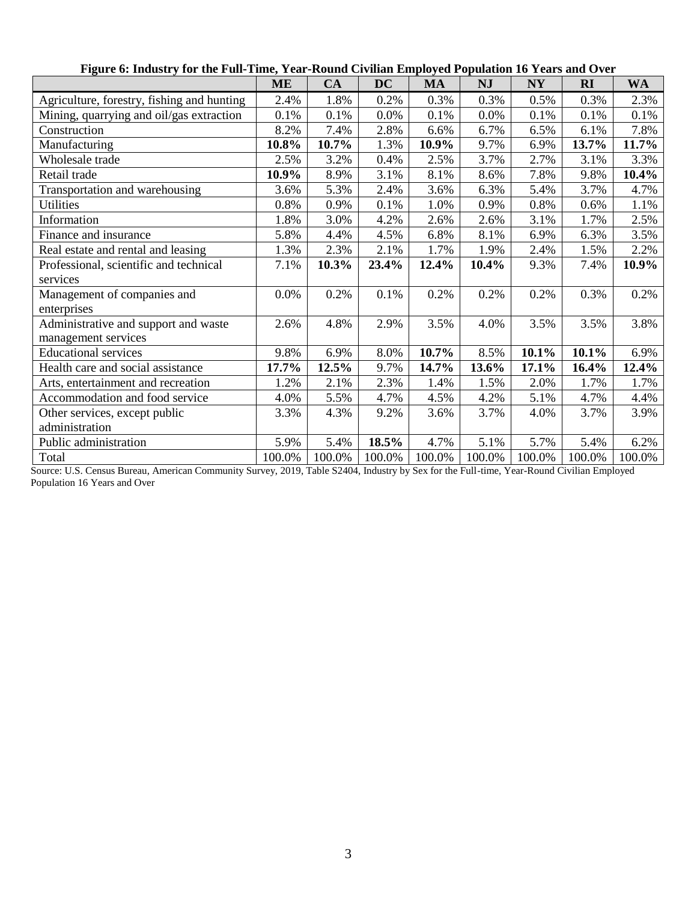|                                            | ME     | CA     | <b>DC</b> | <b>MA</b> | <b>NJ</b> | <b>NY</b> | <b>RI</b> | <b>WA</b> |
|--------------------------------------------|--------|--------|-----------|-----------|-----------|-----------|-----------|-----------|
| Agriculture, forestry, fishing and hunting | 2.4%   | 1.8%   | 0.2%      | 0.3%      | 0.3%      | 0.5%      | 0.3%      | 2.3%      |
| Mining, quarrying and oil/gas extraction   | 0.1%   | 0.1%   | 0.0%      | 0.1%      | 0.0%      | 0.1%      | 0.1%      | 0.1%      |
| Construction                               | 8.2%   | 7.4%   | 2.8%      | 6.6%      | 6.7%      | 6.5%      | 6.1%      | 7.8%      |
| Manufacturing                              | 10.8%  | 10.7%  | 1.3%      | 10.9%     | 9.7%      | 6.9%      | 13.7%     | 11.7%     |
| Wholesale trade                            | 2.5%   | 3.2%   | 0.4%      | 2.5%      | 3.7%      | 2.7%      | 3.1%      | 3.3%      |
| Retail trade                               | 10.9%  | 8.9%   | 3.1%      | 8.1%      | 8.6%      | 7.8%      | 9.8%      | 10.4%     |
| Transportation and warehousing             | 3.6%   | 5.3%   | 2.4%      | 3.6%      | 6.3%      | 5.4%      | 3.7%      | 4.7%      |
| <b>Utilities</b>                           | 0.8%   | 0.9%   | 0.1%      | 1.0%      | 0.9%      | 0.8%      | 0.6%      | 1.1%      |
| Information                                | 1.8%   | 3.0%   | 4.2%      | 2.6%      | 2.6%      | 3.1%      | 1.7%      | 2.5%      |
| Finance and insurance                      | 5.8%   | 4.4%   | 4.5%      | 6.8%      | 8.1%      | 6.9%      | 6.3%      | 3.5%      |
| Real estate and rental and leasing         | 1.3%   | 2.3%   | 2.1%      | 1.7%      | 1.9%      | 2.4%      | 1.5%      | 2.2%      |
| Professional, scientific and technical     | 7.1%   | 10.3%  | 23.4%     | 12.4%     | 10.4%     | 9.3%      | 7.4%      | 10.9%     |
| services                                   |        |        |           |           |           |           |           |           |
| Management of companies and                | 0.0%   | 0.2%   | 0.1%      | 0.2%      | 0.2%      | 0.2%      | 0.3%      | 0.2%      |
| enterprises                                |        |        |           |           |           |           |           |           |
| Administrative and support and waste       | 2.6%   | 4.8%   | 2.9%      | 3.5%      | 4.0%      | 3.5%      | 3.5%      | 3.8%      |
| management services                        |        |        |           |           |           |           |           |           |
| <b>Educational services</b>                | 9.8%   | 6.9%   | 8.0%      | 10.7%     | 8.5%      | 10.1%     | 10.1%     | 6.9%      |
| Health care and social assistance          | 17.7%  | 12.5%  | 9.7%      | 14.7%     | 13.6%     | 17.1%     | 16.4%     | 12.4%     |
| Arts, entertainment and recreation         | 1.2%   | 2.1%   | 2.3%      | 1.4%      | 1.5%      | 2.0%      | 1.7%      | 1.7%      |
| Accommodation and food service             | 4.0%   | 5.5%   | 4.7%      | 4.5%      | 4.2%      | 5.1%      | 4.7%      | 4.4%      |
| Other services, except public              | 3.3%   | 4.3%   | 9.2%      | 3.6%      | 3.7%      | 4.0%      | 3.7%      | 3.9%      |
| administration                             |        |        |           |           |           |           |           |           |
| Public administration                      | 5.9%   | 5.4%   | 18.5%     | 4.7%      | 5.1%      | 5.7%      | 5.4%      | 6.2%      |
| Total                                      | 100.0% | 100.0% | 100.0%    | 100.0%    | 100.0%    | 100.0%    | 100.0%    | 100.0%    |

# **Figure 6: Industry for the Full-Time, Year-Round Civilian Employed Population 16 Years and Over**

Source: U.S. Census Bureau, American Community Survey, 2019, Table S2404, Industry by Sex for the Full-time, Year-Round Civilian Employed Population 16 Years and Over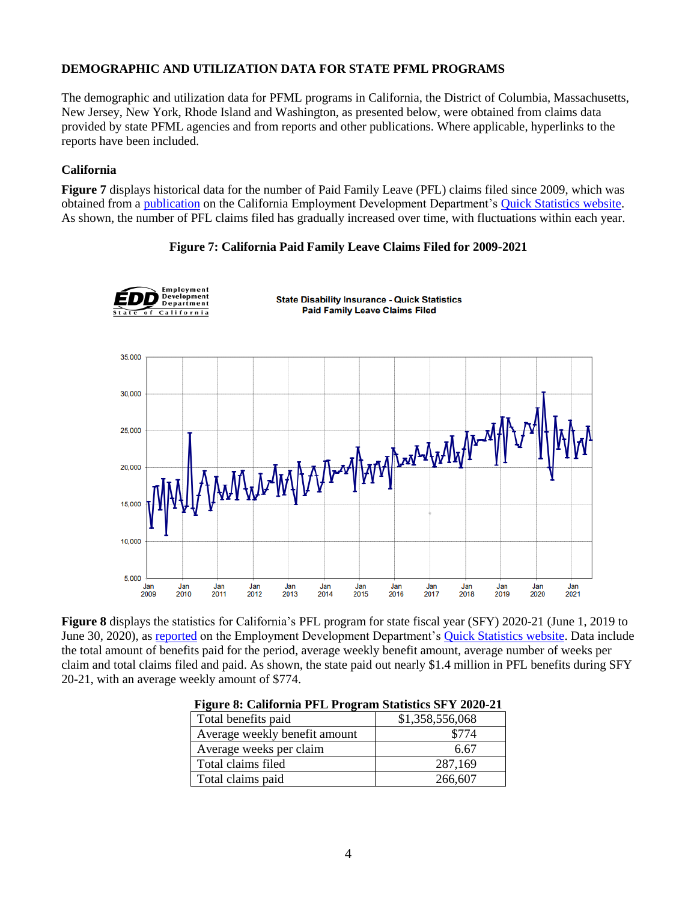## **DEMOGRAPHIC AND UTILIZATION DATA FOR STATE PFML PROGRAMS**

The demographic and utilization data for PFML programs in California, the District of Columbia, Massachusetts, New Jersey, New York, Rhode Island and Washington, as presented below, were obtained from claims data provided by state PFML agencies and from reports and other publications. Where applicable, hyperlinks to the reports have been included.

### **California**

**Figure 7** displays historical data for the number of Paid Family Leave (PFL) claims filed since 2009, which was obtained from a [publication](https://edd.ca.gov/about_edd/pdf/qspfl_Claims_Filed.pdf) on the California Employment Development Department's [Quick Statistics website.](https://edd.ca.gov/about_edd/Quick_Statistics.htm#DIStatistics) As shown, the number of PFL claims filed has gradually increased over time, with fluctuations within each year.

### **Figure 7: California Paid Family Leave Claims Filed for 2009-2021**



**Figure 8** displays the statistics for California's PFL program for state fiscal year (SFY) 2020-21 (June 1, 2019 to June 30, 2020), as [reported](https://edd.ca.gov/about_edd/pdf/qspfl_PFL_Program_Statistics.pdf) on the Employment Development Department's [Quick Statistics website.](https://edd.ca.gov/about_edd/Quick_Statistics.htm#DIStatistics) Data include the total amount of benefits paid for the period, average weekly benefit amount, average number of weeks per claim and total claims filed and paid. As shown, the state paid out nearly \$1.4 million in PFL benefits during SFY 20-21, with an average weekly amount of \$774.

| Them corresponding the throughout provided by the way at |                 |
|----------------------------------------------------------|-----------------|
| Total benefits paid                                      | \$1,358,556,068 |
| Average weekly benefit amount                            | \$774           |
| Average weeks per claim                                  | 6.67            |
| Total claims filed                                       | 287,169         |
| Total claims paid                                        | 266,607         |

|  | Figure 8: California PFL Program Statistics SFY 2020-21 |  |  |  |
|--|---------------------------------------------------------|--|--|--|
|  |                                                         |  |  |  |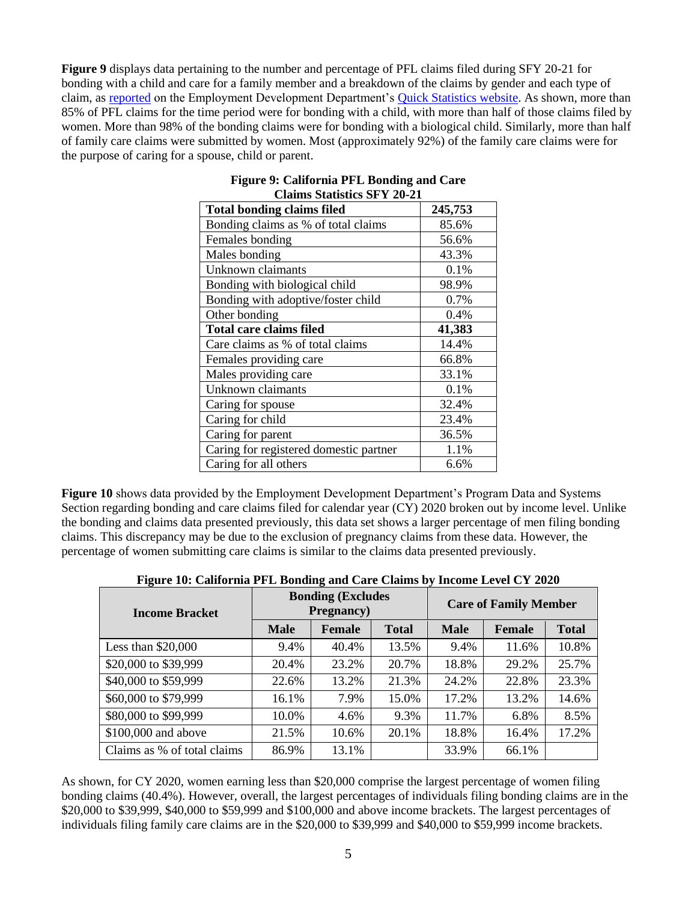**Figure 9** displays data pertaining to the number and percentage of PFL claims filed during SFY 20-21 for bonding with a child and care for a family member and a breakdown of the claims by gender and each type of claim, as [reported](https://edd.ca.gov/about_edd/pdf/qspfl_PFL_Program_Statistics.pdf) on the Employment Development Department's [Quick Statistics website.](https://edd.ca.gov/about_edd/Quick_Statistics.htm#DIStatistics) As shown, more than 85% of PFL claims for the time period were for bonding with a child, with more than half of those claims filed by women. More than 98% of the bonding claims were for bonding with a biological child. Similarly, more than half of family care claims were submitted by women. Most (approximately 92%) of the family care claims were for the purpose of caring for a spouse, child or parent.

| киппо окипонсо от 1 20 21<br><b>Total bonding claims filed</b> | 245,753 |
|----------------------------------------------------------------|---------|
| Bonding claims as % of total claims                            | 85.6%   |
| Females bonding                                                | 56.6%   |
| Males bonding                                                  | 43.3%   |
| Unknown claimants                                              | 0.1%    |
| Bonding with biological child                                  | 98.9%   |
| Bonding with adoptive/foster child                             | 0.7%    |
| Other bonding                                                  | 0.4%    |
| <b>Total care claims filed</b>                                 | 41,383  |
| Care claims as % of total claims                               | 14.4%   |
| Females providing care                                         | 66.8%   |
| Males providing care                                           | 33.1%   |
| Unknown claimants                                              | 0.1%    |
| Caring for spouse                                              | 32.4%   |
| Caring for child                                               | 23.4%   |
| Caring for parent                                              | 36.5%   |
| Caring for registered domestic partner                         | 1.1%    |
| Caring for all others                                          | 6.6%    |

#### **Figure 9: California PFL Bonding and Care Claims Statistics SFY 20-21**

**Figure 10** shows data provided by the Employment Development Department's Program Data and Systems Section regarding bonding and care claims filed for calendar year (CY) 2020 broken out by income level. Unlike the bonding and claims data presented previously, this data set shows a larger percentage of men filing bonding claims. This discrepancy may be due to the exclusion of pregnancy claims from these data. However, the percentage of women submitting care claims is similar to the claims data presented previously.

| <b>Income Bracket</b>       |             | <b>Bonding (Excludes)</b><br><b>Pregnancy</b> ) |              | <b>Care of Family Member</b> |        |              |  |
|-----------------------------|-------------|-------------------------------------------------|--------------|------------------------------|--------|--------------|--|
|                             | <b>Male</b> | <b>Female</b>                                   | <b>Total</b> | <b>Male</b>                  | Female | <b>Total</b> |  |
| Less than $$20,000$         | 9.4%        | 40.4%                                           | 13.5%        | 9.4%                         | 11.6%  | 10.8%        |  |
| \$20,000 to \$39,999        | 20.4%       | 23.2%                                           | 20.7%        | 18.8%                        | 29.2%  | 25.7%        |  |
| \$40,000 to \$59,999        | 22.6%       | 13.2%                                           | 21.3%        | 24.2%                        | 22.8%  | 23.3%        |  |
| \$60,000 to \$79,999        | 16.1%       | 7.9%                                            | 15.0%        | 17.2%                        | 13.2%  | 14.6%        |  |
| \$80,000 to \$99,999        | 10.0%       | 4.6%                                            | 9.3%         | 11.7%                        | 6.8%   | 8.5%         |  |
| \$100,000 and above         | 21.5%       | 10.6%                                           | 20.1%        | 18.8%                        | 16.4%  | 17.2%        |  |
| Claims as % of total claims | 86.9%       | 13.1%                                           |              | 33.9%                        | 66.1%  |              |  |

|  | Figure 10: California PFL Bonding and Care Claims by Income Level CY 2020 |
|--|---------------------------------------------------------------------------|
|  |                                                                           |

As shown, for CY 2020, women earning less than \$20,000 comprise the largest percentage of women filing bonding claims (40.4%). However, overall, the largest percentages of individuals filing bonding claims are in the \$20,000 to \$39,999, \$40,000 to \$59,999 and \$100,000 and above income brackets. The largest percentages of individuals filing family care claims are in the \$20,000 to \$39,999 and \$40,000 to \$59,999 income brackets.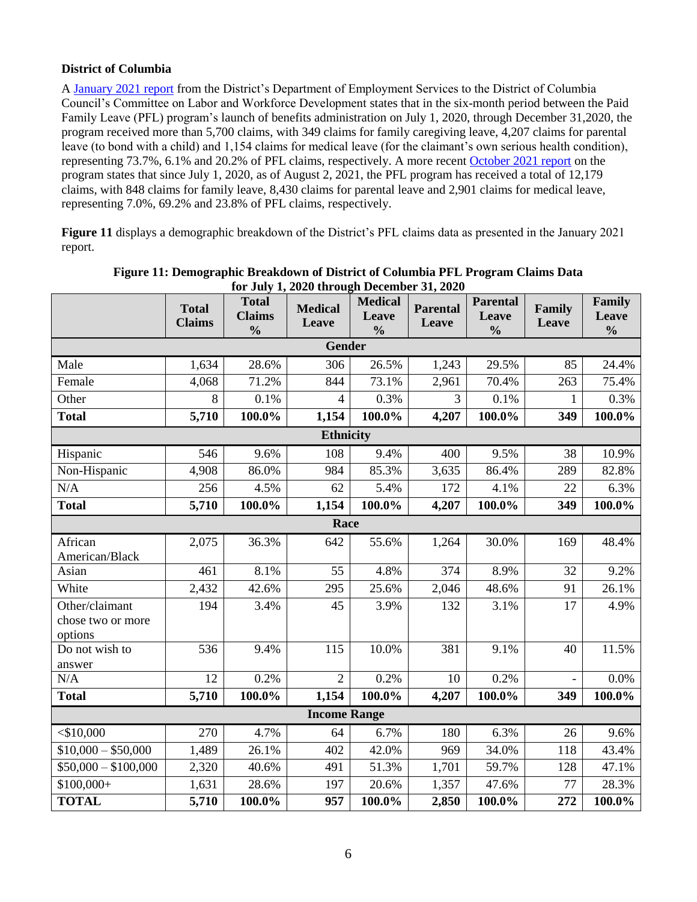## **District of Columbia**

A [January 2021 report](https://d3n8a8pro7vhmx.cloudfront.net/silverman/pages/1520/attachments/original/1611202998/DOES_PFL_Pre-Roundtable_Written_Responses_Final.pdf) from the District's Department of Employment Services to the District of Columbia Council's Committee on Labor and Workforce Development states that in the six-month period between the Paid Family Leave (PFL) program's launch of benefits administration on July 1, 2020, through December 31,2020, the program received more than 5,700 claims, with 349 claims for family caregiving leave, 4,207 claims for parental leave (to bond with a child) and 1,154 claims for medical leave (for the claimant's own serious health condition), representing 73.7%, 6.1% and 20.2% of PFL claims, respectively. A more recen[t October 2021 report](https://does.dc.gov/sites/default/files/dc/sites/does/publication/attachments/DOES%20-%20Paid%20Family%20Leave%20FY21%20Q4%20Report_.pdf) on the program states that since July 1, 2020, as of August 2, 2021, the PFL program has received a total of 12,179 claims, with 848 claims for family leave, 8,430 claims for parental leave and 2,901 claims for medical leave, representing 7.0%, 69.2% and 23.8% of PFL claims, respectively.

**Figure 11** displays a demographic breakdown of the District's PFL claims data as presented in the January 2021 report.

|                                                | <b>Total</b><br><b>Claims</b> | <b>Total</b><br><b>Claims</b><br>$\frac{0}{0}$ | 101 July 1, 2020 through December 91, 2020<br><b>Medical</b><br>Leave | <b>Medical</b><br>Leave<br>$\frac{0}{0}$ | Parental<br>Leave | <b>Parental</b><br>Leave<br>$\frac{0}{0}$ | Family<br>Leave | Family<br>Leave<br>$\frac{0}{0}$ |  |  |
|------------------------------------------------|-------------------------------|------------------------------------------------|-----------------------------------------------------------------------|------------------------------------------|-------------------|-------------------------------------------|-----------------|----------------------------------|--|--|
| <b>Gender</b>                                  |                               |                                                |                                                                       |                                          |                   |                                           |                 |                                  |  |  |
| Male                                           | 1,634                         | 28.6%                                          | 306                                                                   | 26.5%                                    | 1,243             | 29.5%                                     | 85              | 24.4%                            |  |  |
| Female                                         | 4,068                         | 71.2%                                          | 844                                                                   | 73.1%                                    | 2,961             | 70.4%                                     | 263             | 75.4%                            |  |  |
| Other                                          | 8                             | 0.1%                                           | $\overline{4}$                                                        | 0.3%                                     | $\overline{3}$    | 0.1%                                      | $\mathbf{1}$    | 0.3%                             |  |  |
| <b>Total</b>                                   | 5,710                         | 100.0%                                         | 1,154                                                                 | 100.0%                                   | 4,207             | 100.0%                                    | 349             | 100.0%                           |  |  |
|                                                |                               |                                                | <b>Ethnicity</b>                                                      |                                          |                   |                                           |                 |                                  |  |  |
| Hispanic                                       | 546                           | 9.6%                                           | 108                                                                   | 9.4%                                     | 400               | 9.5%                                      | 38              | 10.9%                            |  |  |
| Non-Hispanic                                   | 4,908                         | 86.0%                                          | 984                                                                   | 85.3%                                    | 3,635             | 86.4%                                     | 289             | 82.8%                            |  |  |
| N/A                                            | 256                           | 4.5%                                           | 62                                                                    | 5.4%                                     | 172               | 4.1%                                      | 22              | 6.3%                             |  |  |
| <b>Total</b>                                   | 5,710                         | 100.0%                                         | 1,154                                                                 | 100.0%                                   | 4,207             | 100.0%                                    | 349             | 100.0%                           |  |  |
| Race                                           |                               |                                                |                                                                       |                                          |                   |                                           |                 |                                  |  |  |
| African<br>American/Black                      | 2,075                         | 36.3%                                          | 642                                                                   | 55.6%                                    | 1,264             | 30.0%                                     | 169             | 48.4%                            |  |  |
| Asian                                          | 461                           | 8.1%                                           | 55                                                                    | 4.8%                                     | 374               | 8.9%                                      | 32              | 9.2%                             |  |  |
| White                                          | 2,432                         | 42.6%                                          | 295                                                                   | 25.6%                                    | 2,046             | 48.6%                                     | 91              | 26.1%                            |  |  |
| Other/claimant<br>chose two or more<br>options | 194                           | 3.4%                                           | 45                                                                    | 3.9%                                     | 132               | 3.1%                                      | 17              | 4.9%                             |  |  |
| Do not wish to<br>answer                       | 536                           | 9.4%                                           | 115                                                                   | 10.0%                                    | 381               | 9.1%                                      | 40              | 11.5%                            |  |  |
| N/A                                            | 12                            | 0.2%                                           | $\overline{2}$                                                        | 0.2%                                     | 10                | 0.2%                                      |                 | 0.0%                             |  |  |
| <b>Total</b>                                   | 5,710                         | 100.0%                                         | 1,154                                                                 | 100.0%                                   | 4,207             | 100.0%                                    | 349             | 100.0%                           |  |  |
|                                                |                               |                                                | <b>Income Range</b>                                                   |                                          |                   |                                           |                 |                                  |  |  |
| $<$ \$10,000                                   | 270                           | 4.7%                                           | 64                                                                    | 6.7%                                     | 180               | 6.3%                                      | 26              | 9.6%                             |  |  |
| $$10,000 - $50,000$                            | 1,489                         | 26.1%                                          | 402                                                                   | 42.0%                                    | 969               | 34.0%                                     | 118             | 43.4%                            |  |  |
| $$50,000 - $100,000$                           | 2,320                         | 40.6%                                          | 491                                                                   | 51.3%                                    | 1,701             | 59.7%                                     | 128             | 47.1%                            |  |  |
| $$100,000+$                                    | 1,631                         | 28.6%                                          | 197                                                                   | 20.6%                                    | 1,357             | 47.6%                                     | 77              | 28.3%                            |  |  |
| <b>TOTAL</b>                                   | 5,710                         | 100.0%                                         | 957                                                                   | 100.0%                                   | 2,850             | 100.0%                                    | 272             | 100.0%                           |  |  |

**Figure 11: Demographic Breakdown of District of Columbia PFL Program Claims Data for July 1, 2020 through December 31, 2020**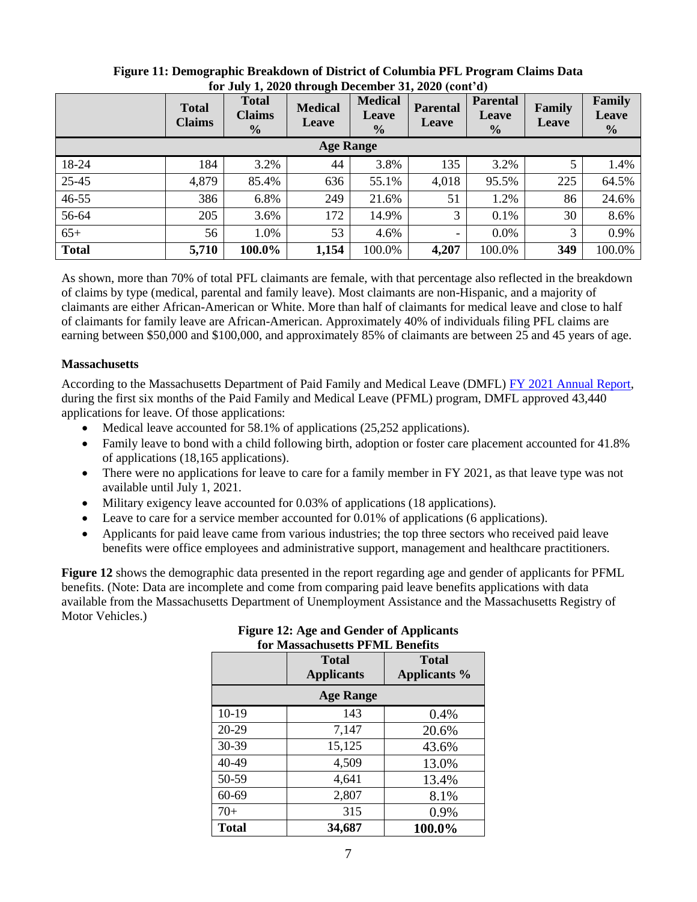|                  | <b>Total</b><br><b>Claims</b> | <b>Total</b><br><b>Claims</b><br>$\frac{0}{0}$ | <b>Medical</b><br><b>Leave</b> | <b>Medical</b><br>Leave<br>$\frac{0}{0}$ | <b>Parental</b><br>Leave | <b>Parental</b><br><b>Leave</b><br>$\frac{0}{0}$ | Family<br>Leave | Family<br>Leave<br>$\frac{0}{0}$ |
|------------------|-------------------------------|------------------------------------------------|--------------------------------|------------------------------------------|--------------------------|--------------------------------------------------|-----------------|----------------------------------|
| <b>Age Range</b> |                               |                                                |                                |                                          |                          |                                                  |                 |                                  |
| 18-24            | 184                           | 3.2%                                           | 44                             | 3.8%                                     | 135                      | 3.2%                                             | 5               | 1.4%                             |
| 25-45            | 4,879                         | 85.4%                                          | 636                            | 55.1%                                    | 4,018                    | 95.5%                                            | 225             | 64.5%                            |
| $46 - 55$        | 386                           | 6.8%                                           | 249                            | 21.6%                                    | 51                       | 1.2%                                             | 86              | 24.6%                            |
| 56-64            | 205                           | 3.6%                                           | 172                            | 14.9%                                    | 3                        | 0.1%                                             | 30              | 8.6%                             |
| $65+$            | 56                            | 1.0%                                           | 53                             | 4.6%                                     | $\overline{\phantom{a}}$ | 0.0%                                             | 3               | 0.9%                             |
| <b>Total</b>     | 5,710                         | 100.0%                                         | 1,154                          | 100.0%                                   | 4,207                    | 100.0%                                           | 349             | 100.0%                           |

### **Figure 11: Demographic Breakdown of District of Columbia PFL Program Claims Data for July 1, 2020 through December 31, 2020 (cont'd)**

As shown, more than 70% of total PFL claimants are female, with that percentage also reflected in the breakdown of claims by type (medical, parental and family leave). Most claimants are non-Hispanic, and a majority of claimants are either African-American or White. More than half of claimants for medical leave and close to half of claimants for family leave are African-American. Approximately 40% of individuals filing PFL claims are earning between \$50,000 and \$100,000, and approximately 85% of claimants are between 25 and 45 years of age.

## **Massachusetts**

According to the Massachusetts Department of Paid Family and Medical Leave (DMFL) [FY 2021 Annual Report,](https://www.mass.gov/doc/fy2021-dfml-annual-report/download) during the first six months of the Paid Family and Medical Leave (PFML) program, DMFL approved 43,440 applications for leave. Of those applications:

- Medical leave accounted for 58.1% of applications (25,252 applications).
- Family leave to bond with a child following birth, adoption or foster care placement accounted for 41.8% of applications (18,165 applications).
- There were no applications for leave to care for a family member in FY 2021, as that leave type was not available until July 1, 2021.
- Military exigency leave accounted for 0.03% of applications (18 applications).
- Leave to care for a service member accounted for 0.01% of applications (6 applications).
- Applicants for paid leave came from various industries; the top three sectors who received paid leave benefits were office employees and administrative support, management and healthcare practitioners.

**Figure 12** shows the demographic data presented in the report regarding age and gender of applicants for PFML benefits. (Note: Data are incomplete and come from comparing paid leave benefits applications with data available from the Massachusetts Department of Unemployment Assistance and the Massachusetts Registry of Motor Vehicles.)

|                  | <b>Total</b><br><b>Applicants</b> | <b>Total</b><br>Applicants % |  |  |  |  |
|------------------|-----------------------------------|------------------------------|--|--|--|--|
| <b>Age Range</b> |                                   |                              |  |  |  |  |
| $10-19$          | 143                               | 0.4%                         |  |  |  |  |
| 20-29            | 7,147                             | 20.6%                        |  |  |  |  |
| 30-39            | 15,125                            | 43.6%                        |  |  |  |  |
| 40-49            | 4,509                             | 13.0%                        |  |  |  |  |
| 50-59            | 4,641                             | 13.4%                        |  |  |  |  |
| 60-69            | 2,807                             | 8.1%                         |  |  |  |  |
| $70+$            | 315                               | 0.9%                         |  |  |  |  |
| <b>Total</b>     | 34,687                            | 100.0%                       |  |  |  |  |

### **Figure 12: Age and Gender of Applicants for Massachusetts PFML Benefits**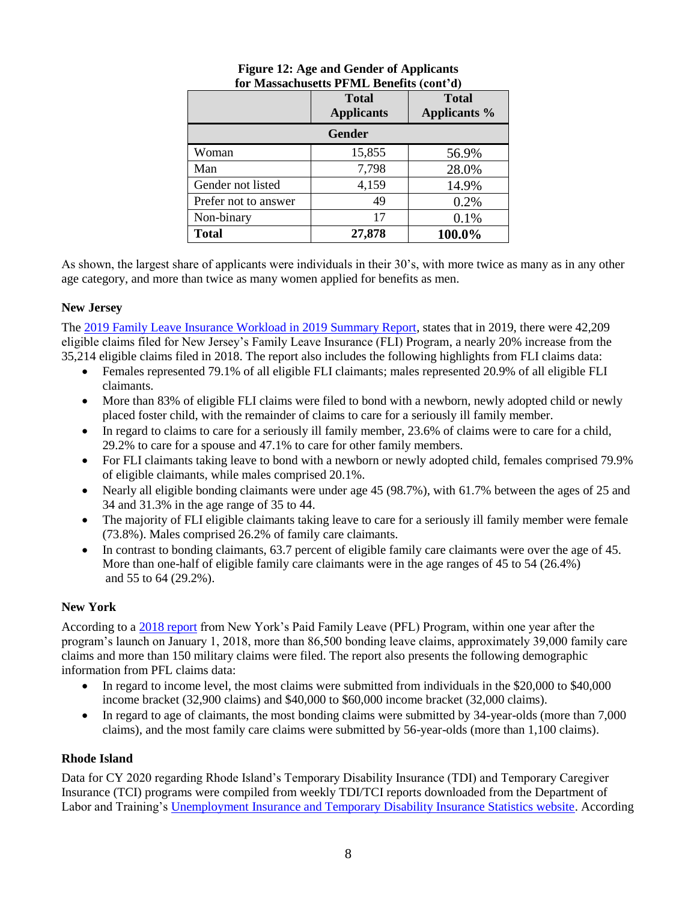|                      | <b>Total</b><br><b>Applicants</b> | <b>Total</b><br><b>Applicants %</b> |  |  |  |  |  |
|----------------------|-----------------------------------|-------------------------------------|--|--|--|--|--|
| <b>Gender</b>        |                                   |                                     |  |  |  |  |  |
| Woman                | 15,855                            | 56.9%                               |  |  |  |  |  |
| Man                  | 7,798                             | 28.0%                               |  |  |  |  |  |
| Gender not listed    | 4,159                             | 14.9%                               |  |  |  |  |  |
| Prefer not to answer | 49                                | 0.2%                                |  |  |  |  |  |
| Non-binary           | 17                                | 0.1%                                |  |  |  |  |  |
| <b>Total</b>         | 27,878                            | 100.0%                              |  |  |  |  |  |

### **Figure 12: Age and Gender of Applicants for Massachusetts PFML Benefits (cont'd)**

As shown, the largest share of applicants were individuals in their 30's, with more twice as many as in any other age category, and more than twice as many women applied for benefits as men.

# **New Jersey**

The [2019 Family Leave Insurance Workload in 2019 Summary Report,](https://www.myleavebenefits.nj.gov/labor/myleavebenefits/assets/pdfs/FLI%20Summary%20Report%20for%202019.pdf) states that in 2019, there were 42,209 eligible claims filed for New Jersey's Family Leave Insurance (FLI) Program, a nearly 20% increase from the 35,214 eligible claims filed in 2018. The report also includes the following highlights from FLI claims data:

- Females represented 79.1% of all eligible FLI claimants; males represented 20.9% of all eligible FLI claimants.
- More than 83% of eligible FLI claims were filed to bond with a newborn, newly adopted child or newly placed foster child, with the remainder of claims to care for a seriously ill family member.
- In regard to claims to care for a seriously ill family member, 23.6% of claims were to care for a child, 29.2% to care for a spouse and 47.1% to care for other family members.
- For FLI claimants taking leave to bond with a newborn or newly adopted child, females comprised 79.9% of eligible claimants, while males comprised 20.1%.
- Nearly all eligible bonding claimants were under age 45 (98.7%), with 61.7% between the ages of 25 and 34 and 31.3% in the age range of 35 to 44.
- The majority of FLI eligible claimants taking leave to care for a seriously ill family member were female (73.8%). Males comprised 26.2% of family care claimants.
- In contrast to bonding claimants, 63.7 percent of eligible family care claimants were over the age of 45. More than one-half of eligible family care claimants were in the age ranges of 45 to 54 (26.4%) and 55 to 64 (29.2%).

# **New York**

According to a [2018 report](https://paidfamilyleave.ny.gov/system/files/documents/2019/08/PFL-EOYReport-2018-v1%207-11-19%20FINAL.pdf) from New York's Paid Family Leave (PFL) Program, within one year after the program's launch on January 1, 2018, more than 86,500 bonding leave claims, approximately 39,000 family care claims and more than 150 military claims were filed. The report also presents the following demographic information from PFL claims data:

- In regard to income level, the most claims were submitted from individuals in the \$20,000 to \$40,000 income bracket (32,900 claims) and \$40,000 to \$60,000 income bracket (32,000 claims).
- In regard to age of claimants, the most bonding claims were submitted by 34-year-olds (more than 7,000 claims), and the most family care claims were submitted by 56-year-olds (more than 1,100 claims).

# **Rhode Island**

Data for CY 2020 regarding Rhode Island's Temporary Disability Insurance (TDI) and Temporary Caregiver Insurance (TCI) programs were compiled from weekly TDI/TCI reports downloaded from the Department of Labor and Training's [Unemployment Insurance and Temporary Disability Insurance Statistics website.](https://dlt.ri.gov/labor-market-information/data-center/unemployment-insurance-ui-temporary-disability-insurance-tdi) According